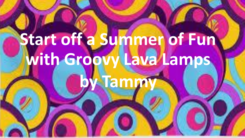# **Start off a Summer of Fun with Groovy Lava Lamps**

**by Tammy**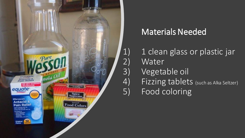

### Materials Needed

1) 1 clean glass or plastic jar 2) Water 3) Vegetable oil 4) Fizzing tablets (such as Alka Seltzer) 5) Food coloring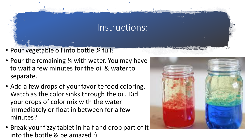#### Instructions:

- Pour vegetable oil into bottle 3/4 full.
- Pour the remaining ¼ with water. You may have to wait a few minutes for the oil & water to separate.
- Add a few drops of your favorite food coloring. Watch as the color sinks through the oil. Did your drops of color mix with the water immediately or float in between for a few minutes?
- Break your fizzy tablet in half and drop part of it into the bottle & be amazed :)

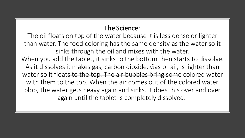#### The Science:

The oil floats on top of the water because it is less dense or lighter than water. The food coloring has the same density as the water so it sinks through the oil and mixes with the water.

When you add the tablet, it sinks to the bottom then starts to dissolve. As it dissolves it makes gas, carbon dioxide. Gas or air, is lighter than water so it floats to the top. The air bubbles bring some colored water with them to the top. When the air comes out of the colored water blob, the water gets heavy again and sinks. It does this over and over again until the tablet is completely dissolved.